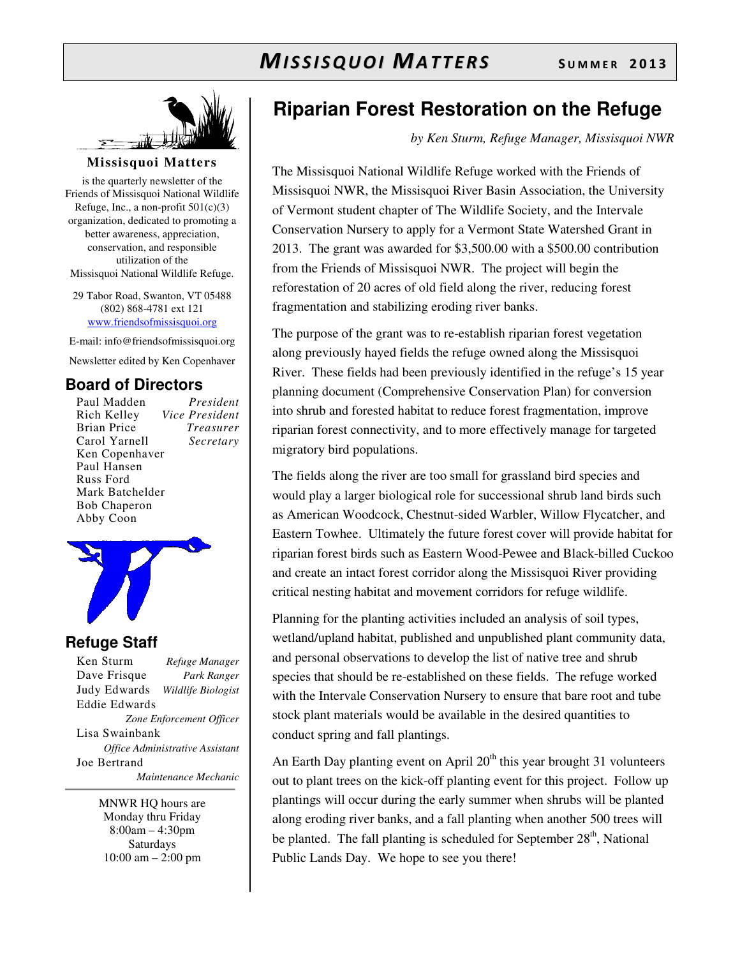

### **Missisquoi Matters**

is the quarterly newsletter of the Friends of Missisquoi National Wildlife Refuge, Inc., a non-profit  $501(c)(3)$ organization, dedicated to promoting a better awareness, appreciation, conservation, and responsible utilization of the Missisquoi National Wildlife Refuge.

29 Tabor Road, Swanton, VT 05488 (802) 868-4781 ext 121 www.friendsofmissisquoi.org

E-mail: info@friendsofmissisquoi.org

Newsletter edited by Ken Copenhaver

## **Board of Directors**

Paul Madden *President* Rich Kelley *Vice President* **Brian Price** Carol Yarnell *Secretary*  Ken Copenhaver Paul Hansen Russ Ford Mark Batchelder Bob Chaperon Abby Coon



### **Refuge Staff**

Ken Sturm *Refuge Manager* Dave Frisque *Park Ranger* Judy Edwards *Wildlife Biologist* Eddie Edwards *Zone Enforcement Officer* Lisa Swainbank *Office Administrative Assistant*  Joe Bertrand  *Maintenance Mechanic*

> MNWR HQ hours are Monday thru Friday 8:00am – 4:30pm Saturdays 10:00 am – 2:00 pm

# **Riparian Forest Restoration on the Refuge**

*by Ken Sturm, Refuge Manager, Missisquoi NWR*

The Missisquoi National Wildlife Refuge worked with the Friends of Missisquoi NWR, the Missisquoi River Basin Association, the University of Vermont student chapter of The Wildlife Society, and the Intervale Conservation Nursery to apply for a Vermont State Watershed Grant in 2013. The grant was awarded for \$3,500.00 with a \$500.00 contribution from the Friends of Missisquoi NWR. The project will begin the reforestation of 20 acres of old field along the river, reducing forest fragmentation and stabilizing eroding river banks.

The purpose of the grant was to re-establish riparian forest vegetation along previously hayed fields the refuge owned along the Missisquoi River. These fields had been previously identified in the refuge's 15 year planning document (Comprehensive Conservation Plan) for conversion into shrub and forested habitat to reduce forest fragmentation, improve riparian forest connectivity, and to more effectively manage for targeted migratory bird populations.

The fields along the river are too small for grassland bird species and would play a larger biological role for successional shrub land birds such as American Woodcock, Chestnut-sided Warbler, Willow Flycatcher, and Eastern Towhee. Ultimately the future forest cover will provide habitat for riparian forest birds such as Eastern Wood-Pewee and Black-billed Cuckoo and create an intact forest corridor along the Missisquoi River providing critical nesting habitat and movement corridors for refuge wildlife.

Planning for the planting activities included an analysis of soil types, wetland/upland habitat, published and unpublished plant community data, and personal observations to develop the list of native tree and shrub species that should be re-established on these fields. The refuge worked with the Intervale Conservation Nursery to ensure that bare root and tube stock plant materials would be available in the desired quantities to conduct spring and fall plantings.

An Earth Day planting event on April  $20<sup>th</sup>$  this year brought 31 volunteers out to plant trees on the kick-off planting event for this project. Follow up plantings will occur during the early summer when shrubs will be planted along eroding river banks, and a fall planting when another 500 trees will be planted. The fall planting is scheduled for September  $28<sup>th</sup>$ , National Public Lands Day. We hope to see you there!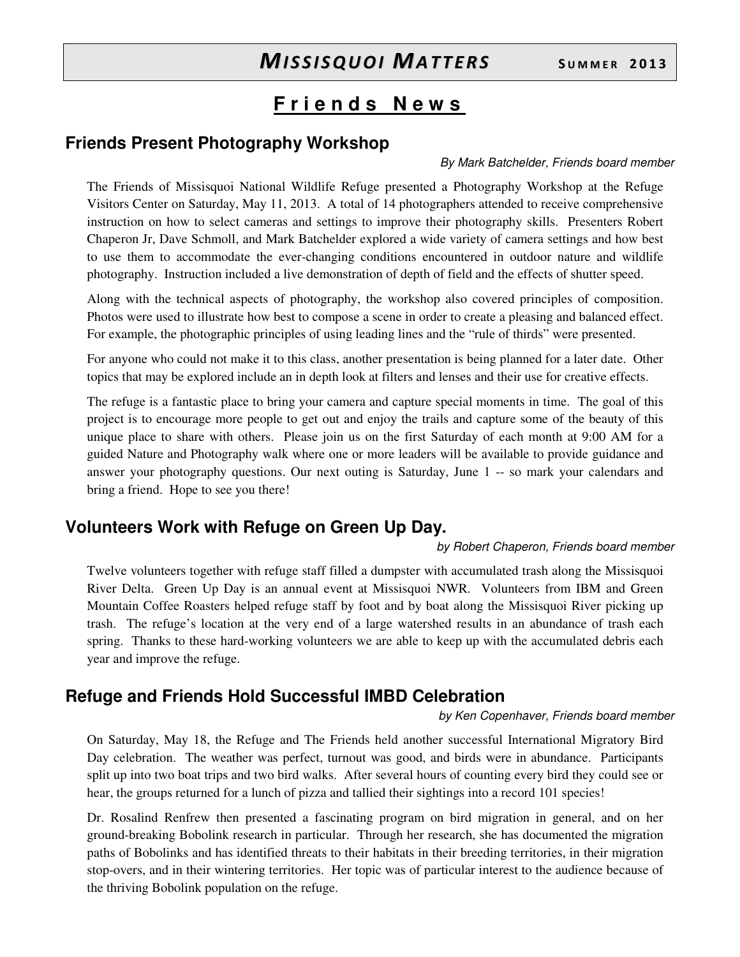## **F r i e n d s N e w s**

## **Friends Present Photography Workshop**

### By Mark Batchelder, Friends board member

The Friends of Missisquoi National Wildlife Refuge presented a Photography Workshop at the Refuge Visitors Center on Saturday, May 11, 2013. A total of 14 photographers attended to receive comprehensive instruction on how to select cameras and settings to improve their photography skills. Presenters Robert Chaperon Jr, Dave Schmoll, and Mark Batchelder explored a wide variety of camera settings and how best to use them to accommodate the ever-changing conditions encountered in outdoor nature and wildlife photography. Instruction included a live demonstration of depth of field and the effects of shutter speed.

Along with the technical aspects of photography, the workshop also covered principles of composition. Photos were used to illustrate how best to compose a scene in order to create a pleasing and balanced effect. For example, the photographic principles of using leading lines and the "rule of thirds" were presented.

For anyone who could not make it to this class, another presentation is being planned for a later date. Other topics that may be explored include an in depth look at filters and lenses and their use for creative effects.

The refuge is a fantastic place to bring your camera and capture special moments in time. The goal of this project is to encourage more people to get out and enjoy the trails and capture some of the beauty of this unique place to share with others. Please join us on the first Saturday of each month at 9:00 AM for a guided Nature and Photography walk where one or more leaders will be available to provide guidance and answer your photography questions. Our next outing is Saturday, June 1 -- so mark your calendars and bring a friend. Hope to see you there!

## **Volunteers Work with Refuge on Green Up Day.**

### by Robert Chaperon, Friends board member

Twelve volunteers together with refuge staff filled a dumpster with accumulated trash along the Missisquoi River Delta. Green Up Day is an annual event at Missisquoi NWR. Volunteers from IBM and Green Mountain Coffee Roasters helped refuge staff by foot and by boat along the Missisquoi River picking up trash. The refuge's location at the very end of a large watershed results in an abundance of trash each spring. Thanks to these hard-working volunteers we are able to keep up with the accumulated debris each year and improve the refuge.

## **Refuge and Friends Hold Successful IMBD Celebration**

### by Ken Copenhaver, Friends board member

On Saturday, May 18, the Refuge and The Friends held another successful International Migratory Bird Day celebration. The weather was perfect, turnout was good, and birds were in abundance. Participants split up into two boat trips and two bird walks. After several hours of counting every bird they could see or hear, the groups returned for a lunch of pizza and tallied their sightings into a record 101 species!

Dr. Rosalind Renfrew then presented a fascinating program on bird migration in general, and on her ground-breaking Bobolink research in particular. Through her research, she has documented the migration paths of Bobolinks and has identified threats to their habitats in their breeding territories, in their migration stop-overs, and in their wintering territories. Her topic was of particular interest to the audience because of the thriving Bobolink population on the refuge.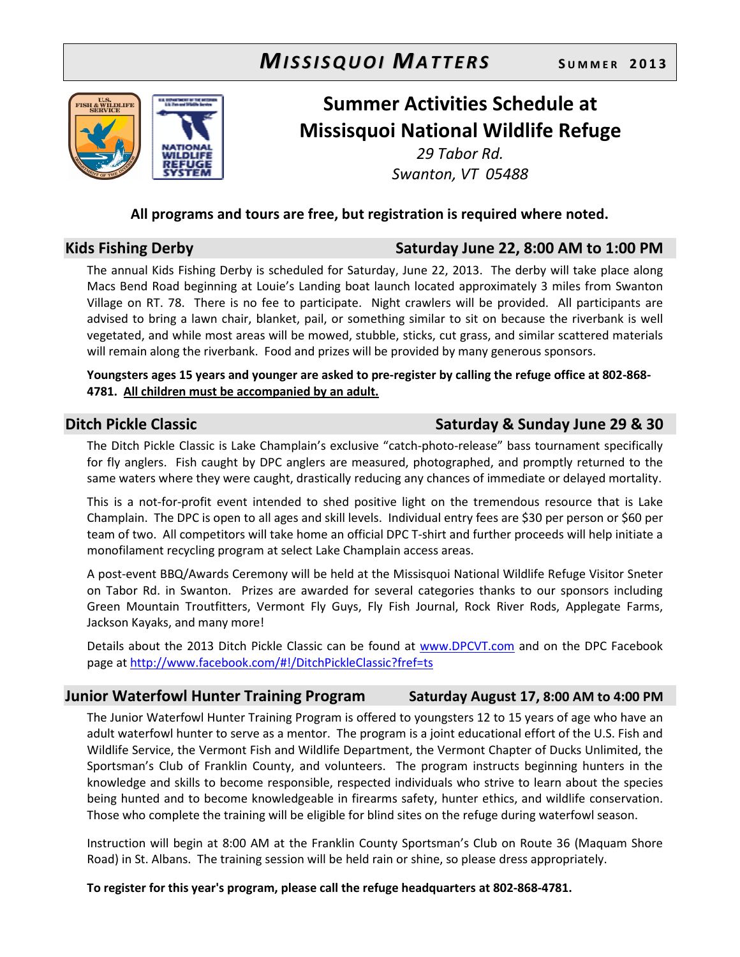

# Summer Activities Schedule at Missisquoi National Wildlife Refuge

29 Tabor Rd. Swanton, VT 05488

### All programs and tours are free, but registration is required where noted.

### Kids Fishing Derby Saturday June 22, 8:00 AM to 1:00 PM

The annual Kids Fishing Derby is scheduled for Saturday, June 22, 2013. The derby will take place along Macs Bend Road beginning at Louie's Landing boat launch located approximately 3 miles from Swanton Village on RT. 78. There is no fee to participate. Night crawlers will be provided. All participants are advised to bring a lawn chair, blanket, pail, or something similar to sit on because the riverbank is well vegetated, and while most areas will be mowed, stubble, sticks, cut grass, and similar scattered materials will remain along the riverbank. Food and prizes will be provided by many generous sponsors.

Youngsters ages 15 years and younger are asked to pre-register by calling the refuge office at 802-868- 4781. All children must be accompanied by an adult.

## Ditch Pickle Classic **Saturday & Sunday June 29 & 30**

The Ditch Pickle Classic is Lake Champlain's exclusive "catch-photo-release" bass tournament specifically for fly anglers. Fish caught by DPC anglers are measured, photographed, and promptly returned to the same waters where they were caught, drastically reducing any chances of immediate or delayed mortality.

This is a not-for-profit event intended to shed positive light on the tremendous resource that is Lake Champlain. The DPC is open to all ages and skill levels. Individual entry fees are \$30 per person or \$60 per team of two. All competitors will take home an official DPC T-shirt and further proceeds will help initiate a monofilament recycling program at select Lake Champlain access areas.

A post-event BBQ/Awards Ceremony will be held at the Missisquoi National Wildlife Refuge Visitor Sneter on Tabor Rd. in Swanton. Prizes are awarded for several categories thanks to our sponsors including Green Mountain Troutfitters, Vermont Fly Guys, Fly Fish Journal, Rock River Rods, Applegate Farms, Jackson Kayaks, and many more!

Details about the 2013 Ditch Pickle Classic can be found at www.DPCVT.com and on the DPC Facebook page at http://www.facebook.com/#!/DitchPickleClassic?fref=ts

### Junior Waterfowl Hunter Training Program Saturday August 17, 8:00 AM to 4:00 PM

The Junior Waterfowl Hunter Training Program is offered to youngsters 12 to 15 years of age who have an adult waterfowl hunter to serve as a mentor. The program is a joint educational effort of the U.S. Fish and Wildlife Service, the Vermont Fish and Wildlife Department, the Vermont Chapter of Ducks Unlimited, the Sportsman's Club of Franklin County, and volunteers. The program instructs beginning hunters in the knowledge and skills to become responsible, respected individuals who strive to learn about the species being hunted and to become knowledgeable in firearms safety, hunter ethics, and wildlife conservation. Those who complete the training will be eligible for blind sites on the refuge during waterfowl season.

Instruction will begin at 8:00 AM at the Franklin County Sportsman's Club on Route 36 (Maquam Shore Road) in St. Albans. The training session will be held rain or shine, so please dress appropriately.

To register for this year's program, please call the refuge headquarters at 802-868-4781.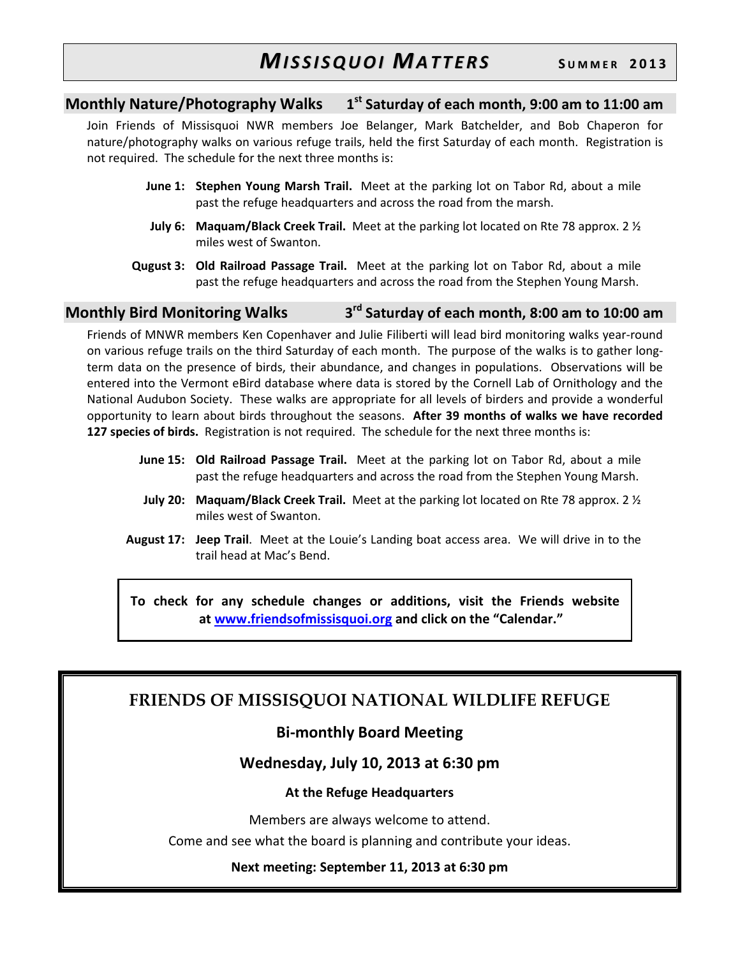### Monthly Nature/Photography Walks 1  $1<sup>st</sup>$  Saturday of each month, 9:00 am to 11:00 am

Join Friends of Missisquoi NWR members Joe Belanger, Mark Batchelder, and Bob Chaperon for nature/photography walks on various refuge trails, held the first Saturday of each month. Registration is not required. The schedule for the next three months is:

- June 1: Stephen Young Marsh Trail. Meet at the parking lot on Tabor Rd, about a mile past the refuge headquarters and across the road from the marsh.
- **July 6: Maquam/Black Creek Trail.** Meet at the parking lot located on Rte 78 approx. 2  $\frac{1}{2}$ miles west of Swanton.
- Qugust 3: Old Railroad Passage Trail. Meet at the parking lot on Tabor Rd, about a mile past the refuge headquarters and across the road from the Stephen Young Marsh.

### Monthly Bird Monitoring Walks 3 3<sup>rd</sup> Saturday of each month, 8:00 am to 10:00 am

Friends of MNWR members Ken Copenhaver and Julie Filiberti will lead bird monitoring walks year-round on various refuge trails on the third Saturday of each month. The purpose of the walks is to gather longterm data on the presence of birds, their abundance, and changes in populations. Observations will be entered into the Vermont eBird database where data is stored by the Cornell Lab of Ornithology and the National Audubon Society. These walks are appropriate for all levels of birders and provide a wonderful opportunity to learn about birds throughout the seasons. After 39 months of walks we have recorded 127 species of birds. Registration is not required. The schedule for the next three months is:

- June 15: Old Railroad Passage Trail. Meet at the parking lot on Tabor Rd, about a mile past the refuge headquarters and across the road from the Stephen Young Marsh.
- **July 20: Maguam/Black Creek Trail.** Meet at the parking lot located on Rte 78 approx. 2  $\frac{1}{2}$ miles west of Swanton.
- August 17: Jeep Trail. Meet at the Louie's Landing boat access area. We will drive in to the trail head at Mac's Bend.

To check for any schedule changes or additions, visit the Friends website at www.friendsofmissisquoi.org and click on the "Calendar."

## FRIENDS OF MISSISQUOI NATIONAL WILDLIFE REFUGE

## Bi-monthly Board Meeting

## Wednesday, July 10, 2013 at 6:30 pm

### At the Refuge Headquarters

Members are always welcome to attend.

Come and see what the board is planning and contribute your ideas.

### Next meeting: September 11, 2013 at 6:30 pm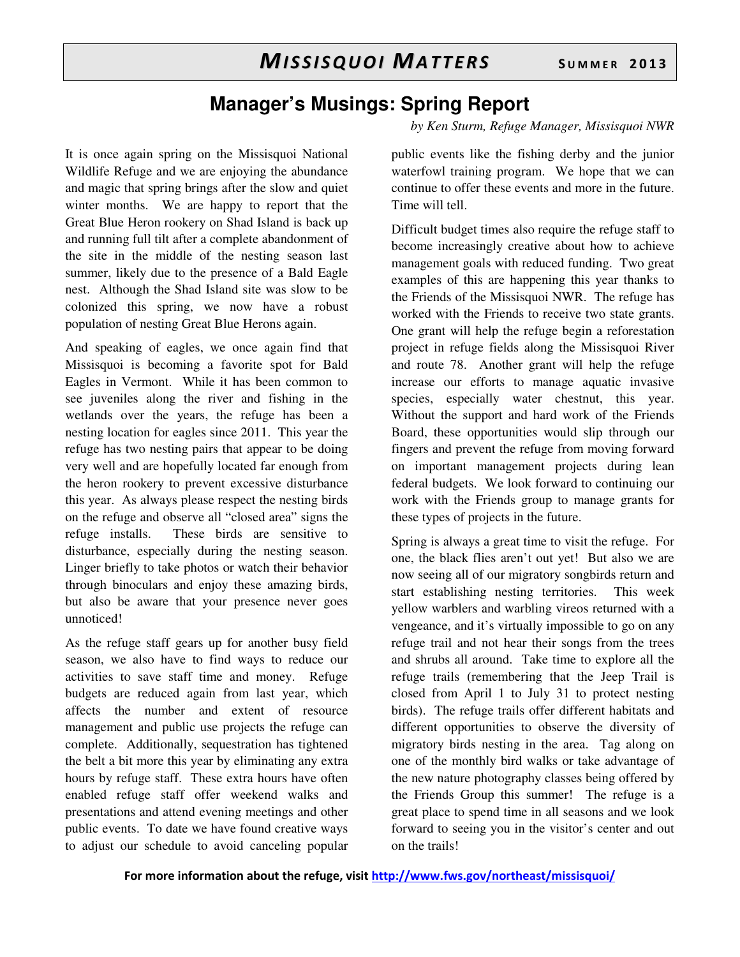# **Manager's Musings: Spring Report**

*by Ken Sturm, Refuge Manager, Missisquoi NWR* 

It is once again spring on the Missisquoi National Wildlife Refuge and we are enjoying the abundance and magic that spring brings after the slow and quiet winter months. We are happy to report that the Great Blue Heron rookery on Shad Island is back up and running full tilt after a complete abandonment of the site in the middle of the nesting season last summer, likely due to the presence of a Bald Eagle nest. Although the Shad Island site was slow to be colonized this spring, we now have a robust population of nesting Great Blue Herons again.

And speaking of eagles, we once again find that Missisquoi is becoming a favorite spot for Bald Eagles in Vermont. While it has been common to see juveniles along the river and fishing in the wetlands over the years, the refuge has been a nesting location for eagles since 2011. This year the refuge has two nesting pairs that appear to be doing very well and are hopefully located far enough from the heron rookery to prevent excessive disturbance this year. As always please respect the nesting birds on the refuge and observe all "closed area" signs the refuge installs. These birds are sensitive to disturbance, especially during the nesting season. Linger briefly to take photos or watch their behavior through binoculars and enjoy these amazing birds, but also be aware that your presence never goes unnoticed!

As the refuge staff gears up for another busy field season, we also have to find ways to reduce our activities to save staff time and money. Refuge budgets are reduced again from last year, which affects the number and extent of resource management and public use projects the refuge can complete. Additionally, sequestration has tightened the belt a bit more this year by eliminating any extra hours by refuge staff. These extra hours have often enabled refuge staff offer weekend walks and presentations and attend evening meetings and other public events. To date we have found creative ways to adjust our schedule to avoid canceling popular public events like the fishing derby and the junior waterfowl training program. We hope that we can continue to offer these events and more in the future. Time will tell.

Difficult budget times also require the refuge staff to become increasingly creative about how to achieve management goals with reduced funding. Two great examples of this are happening this year thanks to the Friends of the Missisquoi NWR. The refuge has worked with the Friends to receive two state grants. One grant will help the refuge begin a reforestation project in refuge fields along the Missisquoi River and route 78. Another grant will help the refuge increase our efforts to manage aquatic invasive species, especially water chestnut, this year. Without the support and hard work of the Friends Board, these opportunities would slip through our fingers and prevent the refuge from moving forward on important management projects during lean federal budgets. We look forward to continuing our work with the Friends group to manage grants for these types of projects in the future.

Spring is always a great time to visit the refuge. For one, the black flies aren't out yet! But also we are now seeing all of our migratory songbirds return and start establishing nesting territories. This week yellow warblers and warbling vireos returned with a vengeance, and it's virtually impossible to go on any refuge trail and not hear their songs from the trees and shrubs all around. Take time to explore all the refuge trails (remembering that the Jeep Trail is closed from April 1 to July 31 to protect nesting birds). The refuge trails offer different habitats and different opportunities to observe the diversity of migratory birds nesting in the area. Tag along on one of the monthly bird walks or take advantage of the new nature photography classes being offered by the Friends Group this summer! The refuge is a great place to spend time in all seasons and we look forward to seeing you in the visitor's center and out on the trails!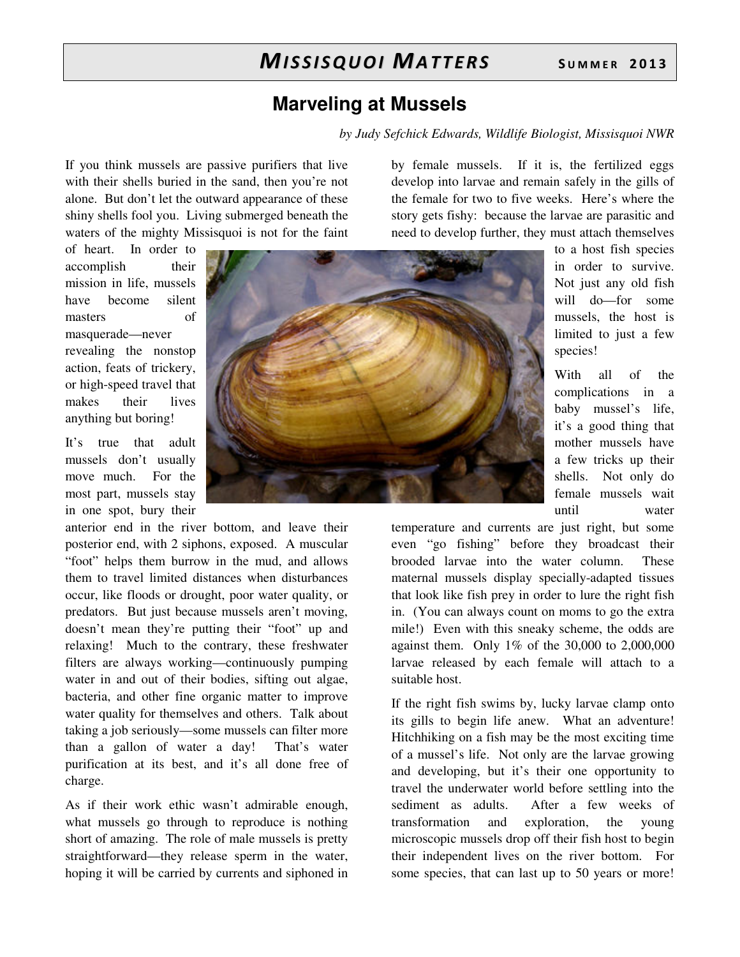## **Marveling at Mussels**

*by Judy Sefchick Edwards, Wildlife Biologist, Missisquoi NWR*

If you think mussels are passive purifiers that live with their shells buried in the sand, then you're not alone. But don't let the outward appearance of these shiny shells fool you. Living submerged beneath the waters of the mighty Missisquoi is not for the faint

of heart. In order to accomplish their mission in life, mussels have become silent masters of masquerade—never revealing the nonstop action, feats of trickery, or high-speed travel that makes their lives anything but boring!

It's true that adult mussels don't usually move much. For the most part, mussels stay in one spot, bury their

anterior end in the river bottom, and leave their posterior end, with 2 siphons, exposed. A muscular "foot" helps them burrow in the mud, and allows them to travel limited distances when disturbances occur, like floods or drought, poor water quality, or predators. But just because mussels aren't moving, doesn't mean they're putting their "foot" up and relaxing! Much to the contrary, these freshwater filters are always working—continuously pumping water in and out of their bodies, sifting out algae, bacteria, and other fine organic matter to improve water quality for themselves and others. Talk about taking a job seriously—some mussels can filter more than a gallon of water a day! That's water purification at its best, and it's all done free of charge.

As if their work ethic wasn't admirable enough, what mussels go through to reproduce is nothing short of amazing. The role of male mussels is pretty straightforward—they release sperm in the water, hoping it will be carried by currents and siphoned in

by female mussels. If it is, the fertilized eggs develop into larvae and remain safely in the gills of the female for two to five weeks. Here's where the story gets fishy: because the larvae are parasitic and need to develop further, they must attach themselves



to a host fish species in order to survive. Not just any old fish will do—for some mussels, the host is limited to just a few species!

With all of the complications in a baby mussel's life, it's a good thing that mother mussels have a few tricks up their shells. Not only do female mussels wait until water

temperature and currents are just right, but some even "go fishing" before they broadcast their brooded larvae into the water column. These maternal mussels display specially-adapted tissues that look like fish prey in order to lure the right fish in. (You can always count on moms to go the extra mile!) Even with this sneaky scheme, the odds are against them. Only 1% of the 30,000 to 2,000,000 larvae released by each female will attach to a suitable host.

If the right fish swims by, lucky larvae clamp onto its gills to begin life anew. What an adventure! Hitchhiking on a fish may be the most exciting time of a mussel's life. Not only are the larvae growing and developing, but it's their one opportunity to travel the underwater world before settling into the sediment as adults. After a few weeks of transformation and exploration, the young microscopic mussels drop off their fish host to begin their independent lives on the river bottom. For some species, that can last up to 50 years or more!